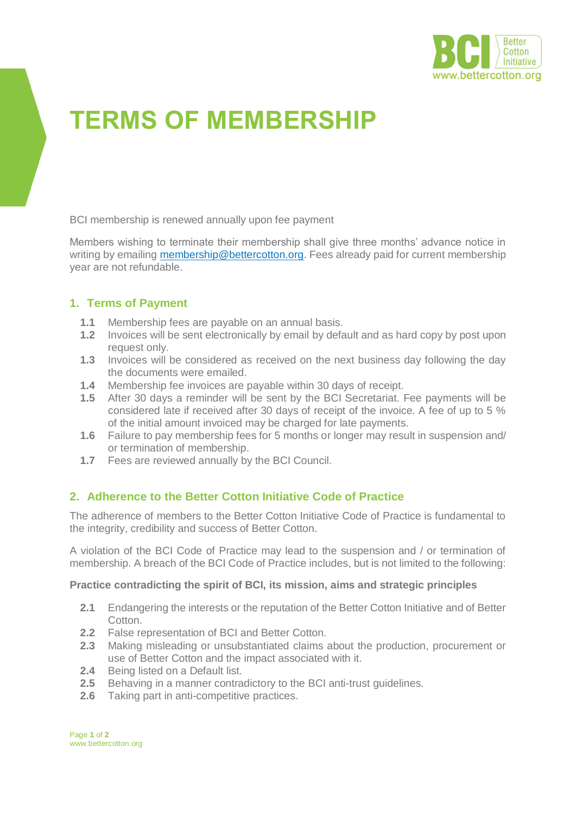

# **TERMS OF MEMBERSHIP**

BCI membership is renewed annually upon fee payment

Members wishing to terminate their membership shall give three months' advance notice in writing by emailing [membership@bettercotton.org.](mailto:membership@bettercotton.org) Fees already paid for current membership year are not refundable.

## **1. Terms of Payment**

- **1.1** Membership fees are payable on an annual basis.
- **1.2** Invoices will be sent electronically by email by default and as hard copy by post upon request only.
- **1.3** Invoices will be considered as received on the next business day following the day the documents were emailed.
- **1.4** Membership fee invoices are payable within 30 days of receipt.
- **1.5** After 30 days a reminder will be sent by the BCI Secretariat. Fee payments will be considered late if received after 30 days of receipt of the invoice. A fee of up to 5 % of the initial amount invoiced may be charged for late payments.
- **1.6** Failure to pay membership fees for 5 months or longer may result in suspension and/ or termination of membership.
- **1.7** Fees are reviewed annually by the BCI Council.

## **2. Adherence to the Better Cotton Initiative Code of Practice**

The adherence of members to the Better Cotton Initiative Code of Practice is fundamental to the integrity, credibility and success of Better Cotton.

A violation of the BCI Code of Practice may lead to the suspension and / or termination of membership. A breach of the BCI Code of Practice includes, but is not limited to the following:

#### **Practice contradicting the spirit of BCI, its mission, aims and strategic principles**

- **2.1** Endangering the interests or the reputation of the Better Cotton Initiative and of Better Cotton.
- **2.2** False representation of BCI and Better Cotton.
- **2.3** Making misleading or unsubstantiated claims about the production, procurement or use of Better Cotton and the impact associated with it.
- **2.4** Being listed on a Default list.
- **2.5** Behaving in a manner contradictory to the BCI anti-trust guidelines.
- **2.6** Taking part in anti-competitive practices.

Page **1** of **2** www.bettercotton.org